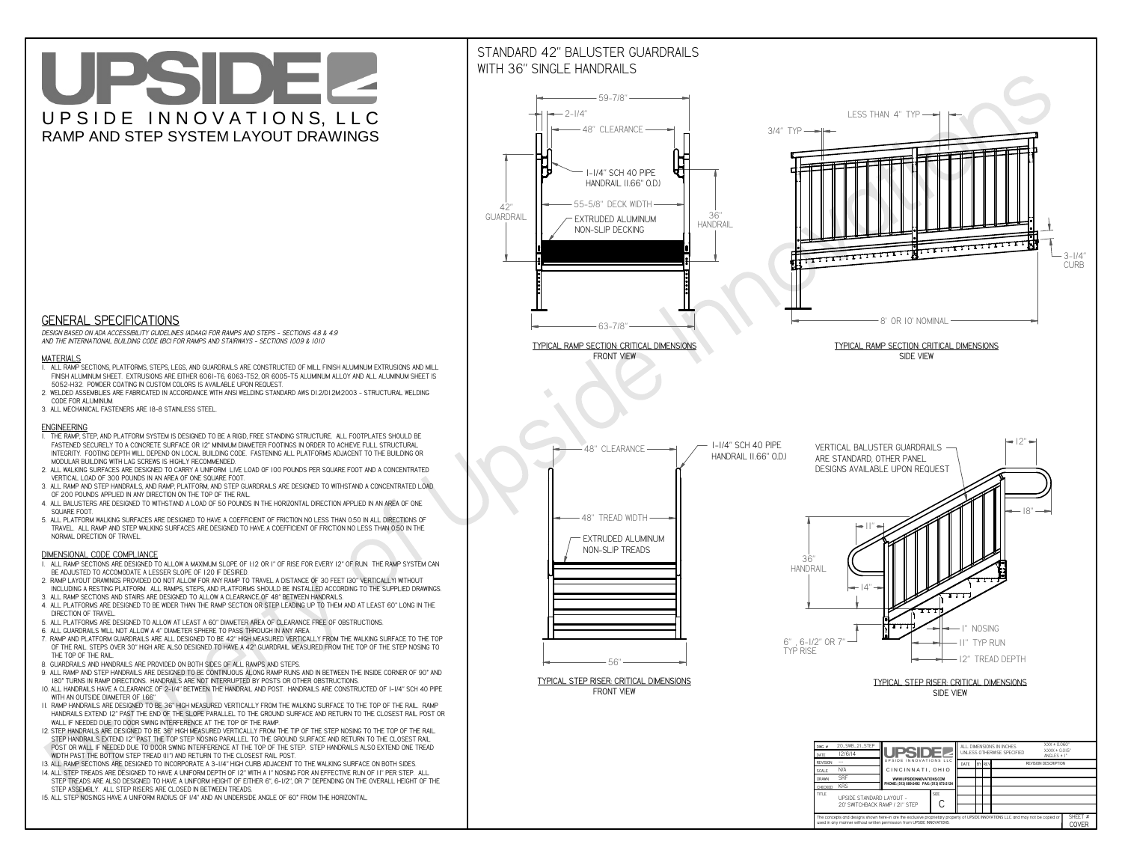# UPSIDEL UPSIDE INNOVATIONS, LLC RAMP AND STEP SYSTEM LAYOUT DRAWINGS



 *DESIGN BASED ON ADA ACCESSIBILITY GUIDELINES (ADAAG) FOR RAMPS AND STEPS - SECTIONS 4.8 & 4.9AND THE INTERNATIONAL BUILDING CODE (IBC) FOR RAMPS AND STAIRWAYS - SECTIONS 1009 & 1010*

#### **MATERIALS**

- **1. ALL RAMP SECTIONS, PLATFORMS, STEPS, LEGS, AND GUARDRAILS ARE CONSTRUCTED OF MILL FINISH ALUMINUM EXTRUSIONS AND MILL FINISH ALUMINUM SHEET. EXTRUSIONS ARE EITHER 6061-T6, 6063-T52, OR 6005-T5 ALUMINUM ALLOY AND ALL ALUMINUM SHEET IS 5052-H32. POWDER COATING IN CUSTOM COLORS IS AVAILABLE UPON REQUEST.**
- **2. WELDED ASSEMBLIES ARE FABRICATED IN ACCORDANCE WITH ANSI WELDING STANDARD AWS D1.2/D1.2M:2003 STRUCTURAL WELDING CODE FOR ALUMINUM.**
- **3. ALL MECHANICAL FASTENERS ARE 18-8 STAINLESS STEEL.**

#### **ENGINEERING**

- **1. THE RAMP, STEP, AND PLATFORM SYSTEM IS DESIGNED TO BE A RIGID, FREE STANDING STRUCTURE. ALL FOOTPLATES SHOULD BE FASTENED SECURELY TO A CONCRETE SURFACE OR 12" MINIMUM DIAMETER FOOTINGS IN ORDER TO ACHIEVE FULL STRUCTURAL INTEGRITY. FOOTING DEPTH WILL DEPEND ON LOCAL BUILDING CODE. FASTENING ALL PLATFORMS ADJACENT TO THE BUILDING OR MODULAR BUILDING WITH LAG SCREWS IS HIGHLY RECOMMENDED.**
- **2. ALL WALKING SURFACES ARE DESIGNED TO CARRY A UNIFORM LIVE LOAD OF 100 POUNDS PER SQUARE FOOT AND A CONCENTRATED VERTICAL LOAD OF 300 POUNDS IN AN AREA OF ONE SQUARE FOOT.**
- **3. ALL RAMP AND STEP HANDRAILS, AND RAMP, PLATFORM, AND STEP GUARDRAILS ARE DESIGNED TO WITHSTAND A CONCENTRATED LOAD OF 200 POUNDS APPLIED IN ANY DIRECTION ON THE TOP OF THE RAIL.**
- **4. ALL BALUSTERS ARE DESIGNED TO WITHSTAND A LOAD OF 50 POUNDS IN THE HORIZONTAL DIRECTION APPLIED IN AN AREA OF ONE SQUARE FOOT.**
- **5. ALL PLATFORM WALKING SURFACES ARE DESIGNED TO HAVE A COEFFICIENT OF FRICTION NO LESS THAN 0.50 IN ALL DIRECTIONS OF TRAVEL. ALL RAMP AND STEP WALKING SURFACES ARE DESIGNED TO HAVE A COEFFICIENT OF FRICTION NO LESS THAN 0.50 IN THE NORMAL DIRECTION OF TRAVEL.**

### **DIMENSIONAL CODE COMPLIANCE**



- **1. ALL RAMP SECTIONS ARE DESIGNED TO ALLOW A MAXIMUM SLOPE OF 1:12 OR 1" OF RISE FOR EVERY 12" OF RUN. THE RAMP SYSTEM CAN BE ADJUSTED TO ACCOMODATE A LESSER SLOPE OF 1:20 IF DESIRED.**
- **2. RAMP LAYOUT DRAWINGS PROVIDED DO NOT ALLOW FOR ANY RAMP TO TRAVEL A DISTANCE OF 30 FEET (30" VERTICALLY) WITHOUT INCLUDING A RESTING PLATFORM. ALL RAMPS, STEPS, AND PLATFORMS SHOULD BE INSTALLED ACCORDING TO THE SUPPLIED DRAWINGS.**
- **3. ALL RAMP SECTIONS AND STAIRS ARE DESIGNED TO ALLOW A CLEARANCE OF 48" BETWEEN HANDRAILS.**
- **4. ALL PLATFORMS ARE DESIGNED TO BE WIDER THAN THE RAMP SECTION OR STEP LEADING UP TO THEM AND AT LEAST 60" LONG IN THE DIRECTION OF TRAVEL.**
- **5. ALL PLATFORMS ARE DESIGNED TO ALLOW AT LEAST A 60" DIAMETER AREA OF CLEARANCE FREE OF OBSTRUCTIONS.**
- **6. ALL GUARDRAILS WILL NOT ALLOW A 4" DIAMETER SPHERE TO PASS THROUGH IN ANY AREA.**
- **7. RAMP AND PLATFORM GUARDRAILS ARE ALL DESIGNED TO BE 42" HIGH MEASURED VERTICALLY FROM THE WALKING SURFACE TO THE TOP OF THE RAIL. STEPS OVER 30" HIGH ARE ALSO DESIGNED TO HAVE A 42" GUARDRAIL MEASURED FROM THE TOP OF THE STEP NOSING TO THE TOP OF THE RAIL.**
- **8. GUARDRAILS AND HANDRAILS ARE PROVIDED ON BOTH SIDES OF ALL RAMPS AND STEPS.**
- **9. ALL RAMP AND STEP HANDRAILS ARE DESIGNED TO BE CONTINUOUS ALONG RAMP RUNS AND IN BETWEEN THE INSIDE CORNER OF 90° AND 180° TURNS IN RAMP DIRECTIONS. HANDRAILS ARE NOT INTERRUPTED BY POSTS OR OTHER OBSTRUCTIONS.**
- **10. ALL HANDRAILS HAVE A CLEARANCE OF 2-1/4" BETWEEN THE HANDRAIL AND POST. HANDRAILS ARE CONSTRUCTED OF 1-1/4" SCH 40 PIPE WITH AN OUTSIDE DIAMETER OF 1.66"**
- **11. RAMP HANDRAILS ARE DESIGNED TO BE 36" HIGH MEASURED VERTICALLY FROM THE WALKING SURFACE TO THE TOP OF THE RAIL. RAMP HANDRAILS EXTEND 12" PAST THE END OF THE SLOPE PARALLEL TO THE GROUND SURFACE AND RETURN TO THE CLOSEST RAIL POST OR WALL IF NEEDED DUE TO DOOR SWING INTERFERENCE AT THE TOP OF THE RAMP.**
- **12. STEP HANDRAILS ARE DESIGNED TO BE 36" HIGH MEASURED VERTICALLY FROM THE TIP OF THE STEP NOSING TO THE TOP OF THE RAIL. STEP HANDRAILS EXTEND 12" PAST THE TOP STEP NOSING PARALLEL TO THE GROUND SURFACE AND RETURN TO THE CLOSEST RAIL POST OR WALL IF NEEDED DUE TO DOOR SWING INTERFERENCE AT THE TOP OF THE STEP. STEP HANDRAILS ALSO EXTEND ONE TREAD**
- **WIDTH PAST THE BOTTOM STEP TREAD (11") AND RETURN TO THE CLOSEST RAIL POST.**
- **13. ALL RAMP SECTIONS ARE DESIGNED TO INCORPORATE A 3-1/4" HIGH CURB ADJACENT TO THE WALKING SURFACE ON BOTH SIDES.**
- **14. ALL STEP TREADS ARE DESIGNED TO HAVE A UNIFORM DEPTH OF 12" WITH A 1" NOSING FOR AN EFFECTIVE RUN OF 11" PER STEP. ALL STEP TREADS ARE ALSO DESIGNED TO HAVE A UNIFORM HEIGHT OF EITHER 6", 6-1/2", OR 7" DEPENDING ON THE OVERALL HEIGHT OF THE STEP ASSEMBLY. ALL STEP RISERS ARE CLOSED IN BETWEEN TREADS.**
- **15. ALL STEP NOSINGS HAVE A UNIFORM RADIUS OF 1/4" AND AN UNDERSIDE ANGLE OF 60° FROM THE HORIZONTAL.**

## STANDARD 42" BALUSTER GUARDRAILSWITH 36" SINGLE HANDRAILS